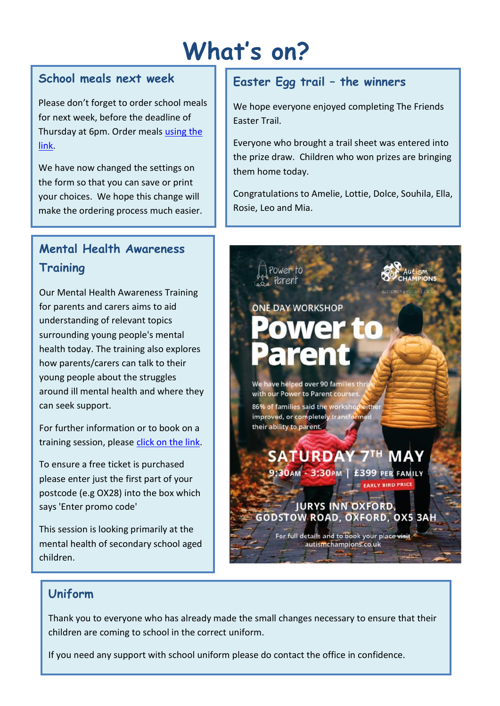# **What's on?**

# **School meals next week**

Please don't forget to order school meals for next week, before the deadline of Thursday at 6pm. Order meals [using the](https://forms.office.com/Pages/ResponsePage.aspx?id=5htDiwHfCU6Zdo2JMMrvkxi3YyiKDqBDtZVhAVFtfzFUMjE1NVhJMlVGVDBQNVM5TEgxWDFGVDA5VC4u)  [link.](https://forms.office.com/Pages/ResponsePage.aspx?id=5htDiwHfCU6Zdo2JMMrvkxi3YyiKDqBDtZVhAVFtfzFUMjE1NVhJMlVGVDBQNVM5TEgxWDFGVDA5VC4u)

We have now changed the settings on the form so that you can save or print your choices. We hope this change will make the ordering process much easier.

# **Mental Health Awareness Training**

Our Mental Health Awareness Training for parents and carers aims to aid understanding of relevant topics surrounding young people's mental health today. The training also explores how parents/carers can talk to their young people about the struggles around ill mental health and where they can seek support.

For further information or to book on a training session, please [click on the link.](https://www.eventbrite.co.uk/e/an-online-mental-health-awareness-session-for-parents-and-carers-tickets-296887668007)

To ensure a free ticket is purchased please enter just the first part of your postcode (e.g OX28) into the box which says 'Enter promo code'

This session is looking primarily at the mental health of secondary school aged children.

# **Easter Egg trail – the winners**

We hope everyone enjoyed completing The Friends Easter Trail.

Everyone who brought a trail sheet was entered into the prize draw. Children who won prizes are bringing them home today.

Congratulations to Amelie, Lottie, Dolce, Souhila, Ella, Rosie, Leo and Mia.



# **Uniform**

Thank you to everyone who has already made the small changes necessary to ensure that their children are coming to school in the correct uniform.

If you need any support with school uniform please do contact the office in confidence.